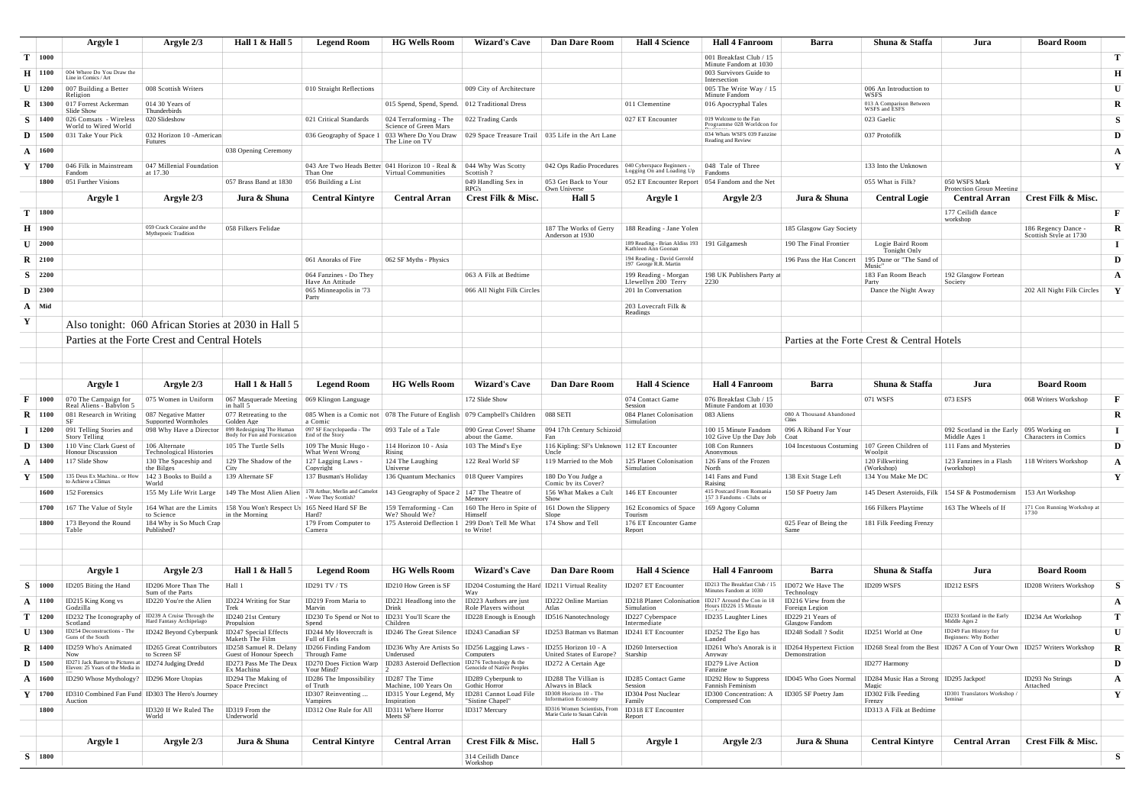|              |                     | Argyle 1                                                             | Argyle 2/3                                              | Hall $1 \&$ Hall $5$                                | <b>Legend Room</b>                         | <b>HG Wells Room</b>                                         | <b>Wizard's Cave</b>                                  | <b>Dan Dare Room</b>                                 | <b>Hall 4 Science</b>                                                         | <b>Hall 4 Fanroom</b>                                    | Barra                                    | Shuna & Staffa                                           | Jura                                           | <b>Board Room</b>                             |              |
|--------------|---------------------|----------------------------------------------------------------------|---------------------------------------------------------|-----------------------------------------------------|--------------------------------------------|--------------------------------------------------------------|-------------------------------------------------------|------------------------------------------------------|-------------------------------------------------------------------------------|----------------------------------------------------------|------------------------------------------|----------------------------------------------------------|------------------------------------------------|-----------------------------------------------|--------------|
|              | $T \mid 1000$       |                                                                      |                                                         |                                                     |                                            |                                                              |                                                       |                                                      |                                                                               | 001 Breakfast Club / 15<br>Minute Fandom at 1030         |                                          |                                                          |                                                |                                               | т            |
|              | $H$   1100          | 004 Where Do You Draw the<br>Line in Comics / Art                    |                                                         |                                                     |                                            |                                                              |                                                       |                                                      |                                                                               | 003 Survivors Guide to<br>Intersection                   |                                          |                                                          |                                                |                                               | Н            |
| $\mathbf{U}$ | 1200                | 007 Building a Better                                                | 008 Scottish Writers                                    |                                                     | 010 Straight Reflections                   |                                                              | 009 City of Architecture                              |                                                      |                                                                               | 005 The Write Way / 15                                   |                                          | 006 An Introduction to                                   |                                                |                                               | $\mathbf U$  |
|              | $\mathbf{R}$   1300 | Religion<br>017 Forrest Ackerman                                     | 014 30 Years of                                         |                                                     |                                            | 015 Spend, Spend, Spend.                                     | 012 Traditional Dress                                 |                                                      | 011 Clementine                                                                | Minute Fandom<br>016 Apocryphal Tales                    |                                          | <b>WSES</b><br>013 A Comparison Between<br>WSFS and ESFS |                                                |                                               | R            |
| S.           | $\vert$ 1400        | Slide Show<br>026 Comsats - Wireless                                 | Thunderbirds<br>020 Slideshow                           |                                                     | 021 Critical Standards                     | 024 Terraforming - The                                       | 022 Trading Cards                                     |                                                      | 027 ET Encounter                                                              | 019 Welcome to the Fan                                   |                                          | 023 Gaelic                                               |                                                |                                               | <b>S</b>     |
|              | $\mathbf{D}$   1500 | World to Wired World<br>031 Take Your Pick                           | 032 Horizon 10 - American                               |                                                     | 036 Geography of Space 1                   | Science of Green Mars<br>033 Where Do You Draw               | 029 Space Treasure Trail                              | 035 Life in the Art Lane                             |                                                                               | Programme 028 Worldcon for<br>034 Whats WSFS 039 Fanzine |                                          | 037 Protofilk                                            |                                                |                                               | D            |
|              | $A \mid 1600$       |                                                                      | Futures                                                 | 038 Opening Ceremony                                |                                            | The Line on TV                                               |                                                       |                                                      |                                                                               | Reading and Review                                       |                                          |                                                          |                                                |                                               | $\mathbf{A}$ |
| Y            | 1700                | 046 Filk in Mainstream                                               | 047 Millenial Foundation                                |                                                     |                                            | 043 Are Two Heads Better 041 Horizon 10 - Real &             | 044 Why Was Scotty                                    | 042 Ops Radio Procedures                             | 040 Cyberspace Beginners -                                                    | 048 Tale of Three                                        |                                          | 133 Into the Unknown                                     |                                                |                                               | Y            |
|              | 1800                | Fandom<br>051 Further Visions                                        | at 17.30                                                | 057 Brass Band at 1830                              | Than One<br>056 Building a List            | Virtual Communities                                          | Scottish?<br>049 Handling Sex in                      | 053 Get Back to Your                                 | Logging On and Loading Up<br>052 ET Encounter Report   054 Fandom and the Net | Fandoms                                                  |                                          | 055 What is Filk?                                        | 050 WSFS Mark                                  |                                               |              |
|              |                     |                                                                      |                                                         |                                                     |                                            |                                                              | RPG's                                                 | Own Universe                                         |                                                                               |                                                          |                                          |                                                          | Protection Group Meetin                        |                                               |              |
|              |                     | Argyle 1                                                             | Argyle 2/3                                              | Jura & Shuna                                        | <b>Central Kintyre</b>                     | <b>Central Arran</b>                                         | Crest Filk & Misc.                                    | Hall 5                                               | Argyle 1                                                                      | Argyle 2/3                                               | Jura & Shuna                             | <b>Central Logie</b>                                     | <b>Central Arran</b>                           | Crest Filk & Misc.                            |              |
|              | $T \mid 1800$       |                                                                      |                                                         |                                                     |                                            |                                                              |                                                       |                                                      |                                                                               |                                                          |                                          |                                                          | 177 Ceilidh dance<br>workshop                  |                                               | $\mathbf{F}$ |
|              | $H$   1900          |                                                                      | 059 Crack Cocaine and the<br>Mythepoeic Tradition       | 058 Filkers Felidae                                 |                                            |                                                              |                                                       | 187 The Works of Gerry<br>Anderson at 1930           | 188 Reading - Jane Yolen                                                      |                                                          | 185 Glasgow Gay Society                  |                                                          |                                                | 186 Regency Dance -<br>Scottish Style at 1730 | R            |
|              | $\mathbf{U}$   2000 |                                                                      |                                                         |                                                     |                                            |                                                              |                                                       |                                                      | 189 Reading - Brian Aldiss 193<br>Kathleen Ann Goonar                         | 191 Gilgamesh                                            | 190 The Final Frontier                   | Logie Baird Room<br>Tonight Only                         |                                                |                                               | $\bf{I}$     |
|              | $\mathbf{R}$   2100 |                                                                      |                                                         |                                                     | 061 Anoraks of Fire                        | 062 SF Myths - Physics                                       |                                                       |                                                      | 194 Reading - David Gerrold<br>197 George R.R. Martin                         |                                                          | 196 Pass the Hat Concert                 | 195 Dune or "The Sand of<br><b>Music</b>                 |                                                |                                               | D            |
|              | $S \mid 2200$       |                                                                      |                                                         |                                                     | 064 Fanzines - Do They<br>Have An Attitude |                                                              | 063 A Filk at Bedtime                                 |                                                      | 199 Reading - Morgan<br>Llewellyn 200 Terry                                   | 198 UK Publishers Party at<br>2230                       |                                          | 183 Fan Room Beach<br>Party                              | 192 Glasgow Fortean<br>Society                 |                                               | A            |
|              | $\mathbf{D}$   2300 |                                                                      |                                                         |                                                     | 065 Minneapolis in '73<br>Party            |                                                              | 066 All Night Filk Circles                            |                                                      | 201 In Conversation                                                           |                                                          |                                          | Dance the Night Away                                     |                                                | 202 All Night Filk Circles                    | $\mathbf{Y}$ |
|              | $A \mid Mid$        |                                                                      |                                                         |                                                     |                                            |                                                              |                                                       |                                                      | 203 Lovecraft Filk &<br>Readings                                              |                                                          |                                          |                                                          |                                                |                                               |              |
| Y            |                     |                                                                      | Also tonight: 060 African Stories at 2030 in Hall 5     |                                                     |                                            |                                                              |                                                       |                                                      |                                                                               |                                                          |                                          |                                                          |                                                |                                               |              |
|              |                     |                                                                      | Parties at the Forte Crest and Central Hotels           |                                                     |                                            |                                                              |                                                       |                                                      |                                                                               |                                                          |                                          | Parties at the Forte Crest & Central Hotels              |                                                |                                               |              |
|              |                     |                                                                      |                                                         |                                                     |                                            |                                                              |                                                       |                                                      |                                                                               |                                                          |                                          |                                                          |                                                |                                               |              |
|              |                     |                                                                      |                                                         |                                                     |                                            |                                                              |                                                       |                                                      |                                                                               |                                                          |                                          |                                                          |                                                |                                               |              |
|              |                     | Argyle 1                                                             | Argyle 2/3                                              | Hall $1 &$ Hall $5$                                 | <b>Legend Room</b>                         | <b>HG Wells Room</b>                                         | <b>Wizard's Cave</b>                                  | <b>Dan Dare Room</b>                                 | <b>Hall 4 Science</b>                                                         | <b>Hall 4 Fanroom</b>                                    | Barra                                    | Shuna & Staffa                                           | Jura                                           | <b>Board Room</b>                             |              |
| F            | 1000                | 070 The Campaign for                                                 | 075 Women in Uniform                                    | 067 Masquerade Meeting                              | 069 Klingon Language                       |                                                              | 172 Slide Show                                        |                                                      | 074 Contact Game                                                              | 076 Breakfast Club / 15                                  |                                          | 071 WSFS                                                 | 073 ESFS                                       | 068 Writers Workshop                          | $\mathbf{F}$ |
| R            | $\mid$ 1100         | Real Aliens - Babylon 5<br>081 Research in Writing                   | 087 Negative Matter                                     | in hall 5<br>077 Retreating to the                  | 085 When is a Comic not                    | 078 The Future of English 079 Campbell's Children            |                                                       | 088 SETI                                             | Session<br>084 Planet Colonisation                                            | Minute Fandom at 1030<br>083 Aliens                      | 080 A Thousand Abandoned                 |                                                          |                                                |                                               | R            |
|              | 1200                | <b>SF</b><br>091 Telling Stories and                                 | Supported Wormholes<br>098 Why Have a Director          | Golden Age<br>099 Redesigning The Human             | a Comic<br>097 SF Encyclopaedia - The      | 093 Tale of a Tale                                           | 090 Great Cover! Shame                                | 094 17th Century Schizoid                            | Simulation                                                                    | 100 15 Minute Fandom                                     | Cities<br>096 A Riband For Your          |                                                          | 092 Scotland in the Early   095 Working on     |                                               | $\bf I$      |
|              | $\mathbf{D}$   1300 | Story Telling<br>110 Vinc Clark Guest of                             | 106 Alternate                                           | Body for Fun and Fornicatio<br>105 The Turtle Sells | End of the Story<br>109 The Music Hugo     | 114 Horizon 10 - Asia                                        | about the Game.<br>103 The Mind's Eye                 | Fan<br>116 Kipling: SF's Unknown 112 ET Encounter    |                                                                               | 102 Give Up the Dav Job<br>108 Con Runners               | Coat<br>104 Incestuous Costuming         | 107 Green Children of                                    | Middle Ages 1<br>111 Fans and Mysteries        | Characters in Comics                          | D            |
|              | $A \mid 1400$       | <b>Honour Discussion</b><br>117 Slide Show                           | <b>Technological Histories</b><br>130 The Spaceship and | 129 The Shadow of the                               | What Went Wrong<br>127 Lagging Laws -      | Rising<br>124 The Laughing                                   | 122 Real World SF                                     | Uncle<br>119 Married to the Mob                      | 125 Planet Colonisation                                                       | Anonymous<br>126 Fans of the Frozen                      |                                          | Woolpit<br>120 Filkwriting                               | 123 Fanzines in a Flash                        | 118 Writers Workshop                          | $\mathbf{A}$ |
|              | $\mathbf{Y}$   1500 | 135 Deus Ex Machina or How                                           | the Bilges<br>142 3 Books to Build a                    | City<br>139 Alternate SF                            | Copvright<br>137 Busman's Holiday          | Universe<br>136 Quantum Mechanics                            | 018 Queer Vampires                                    | 180 Do You Judge a                                   | Simulation                                                                    | North<br>141 Fans and Fund                               | 138 Exit Stage Left                      | (Workshop)<br>134 You Make Me DC                         | (workshop)                                     |                                               | Y            |
|              | 1600                | to Achieve a Climax<br>152 Forensics                                 | World<br>155 My Life Writ Large                         | 149 The Most Alien Alien                            | 178 Arthur, Merlin and Camelot             | 143 Geography of Space 2                                     | 147 The Theatre of                                    | Comic by its Cover?<br>156 What Makes a Cult         | 146 ET Encounter                                                              | Raising<br>415 Postcard From Romania                     | 150 SF Poetry Jam                        | 145 Desert Asteroids, Filk                               | 154 SF & Postmodernism                         | 153 Art Workshop                              |              |
|              |                     |                                                                      |                                                         |                                                     | Were They Scottish?                        |                                                              | Memory                                                | Show                                                 |                                                                               | 157 3 Fandoms - Clubs or                                 |                                          |                                                          |                                                |                                               |              |
|              | 1700                | 167 The Value of Style                                               | 164 What are the Limits<br>to Science                   | 158 You Won't Respect Us<br>in the Morning          | 165 Need Hard SF Be<br>Hard?               | 159 Terraforming - Can<br>We? Should We'                     | 160 The Hero in Spite of<br>Himsel                    | 161 Down the Slippery<br>Slope                       | 162 Economics of Space<br>Tourism                                             | 169 Agony Column                                         |                                          | 166 Filkers Playtime                                     | 163 The Wheels of If                           | 171 Con Running Workshop at<br>1730           |              |
|              | 1800                | 173 Beyond the Round<br>Table                                        | 184 Why is So Much Crap<br>Published?                   |                                                     | 179 From Computer to<br>Camera             | 175 Asteroid Deflection 1 299 Don't Tell Me What             | to Write!                                             | 174 Show and Tell                                    | 176 ET Encounter Game<br>Report                                               |                                                          | 025 Fear of Being the<br>Same            | 181 Filk Feeding Frenzy                                  |                                                |                                               |              |
|              |                     |                                                                      |                                                         |                                                     |                                            |                                                              |                                                       |                                                      |                                                                               |                                                          |                                          |                                                          |                                                |                                               |              |
|              |                     |                                                                      |                                                         |                                                     |                                            |                                                              |                                                       |                                                      |                                                                               |                                                          |                                          |                                                          |                                                |                                               |              |
|              |                     | Argyle 1                                                             | Argyle 2/3                                              | Hall $1 &$ Hall $5$                                 | <b>Legend Room</b>                         | <b>HG Wells Room</b>                                         | <b>Wizard's Cave</b>                                  | <b>Dan Dare Room</b>                                 | <b>Hall 4 Science</b>                                                         | <b>Hall 4 Fanroom</b>                                    | Barra                                    | Shuna & Staffa                                           | Jura                                           | <b>Board Room</b>                             |              |
| S.           | $\mid$ 1000         | ID205 Biting the Hand                                                | ID206 More Than The<br>Sum of the Parts                 | Hall 1                                              | ID291 TV / TS                              | ID210 How Green is SF                                        | ID204 Costuming the Hard ID211 Virtual Reality<br>Way |                                                      | <b>ID207 ET Encounter</b>                                                     | ID213 The Breakfast Club / 15<br>Minutes Fandom at 1030  | ID072 We Have The<br>Technology          | ID209 WSFS                                               | ID212 ESFS                                     | ID208 Writers Workshop                        | <b>S</b>     |
|              | $A \mid 1100$       | ID215 King Kong vs<br>Godzilla                                       | ID220 You're the Alien                                  | ID224 Writing for Star<br>Trek                      | ID219 From Maria to<br>Marvin              | ID221 Headlong into the<br>Drink                             | ID223 Authors are just<br>Role Plavers without        | ID222 Online Martian<br>Atlas                        | <b>ID218 Planet Colonisation</b><br>Simulation                                | ID217 Around the Con in 18<br>Hours ID226 15 Minute      | ID216 View from the<br>Foreign Legion    |                                                          |                                                |                                               | A            |
|              | $T \mid 1200$       | ID232 The Iconography of<br>Scotland                                 | ID239 A Cruise Through the<br>Hard Fantasy Archipelago  | ID240 21st Century<br>Propulsion                    | ID230 To Spend or Not to<br>Spend          | ID231 You'll Scare the<br>Children                           | ID228 Enough is Enough                                | ID516 Nanotechnology                                 | ID227 Cyberspace<br>Intermediate                                              | <b>ID235</b> Laughter Lines                              | ID229 21 Years of<br>Glasgow Fandom      |                                                          | ID233 Scotland in the Early<br>Middle Ages 2   | <b>ID234 Art Workshop</b>                     | Т            |
| H            | 1300                | ID254 Deconstructions - The<br>Guns of the South                     | <b>ID242 Beyond Cyberpunk</b>                           | <b>ID247 Special Effects</b><br>Maketh The Film     | ID244 My Hovercraft is<br>Full of Eels     | ID246 The Great Silence                                      | ID243 Canadian SF                                     | ID253 Batman vs Batman                               | <b>ID241 ET Encounter</b>                                                     | ID252 The Ego has<br>Landed                              | ID248 Sodall ? Sodit                     | ID251 World at One                                       | ID249 Fan History for<br>Beginners: Why Bother |                                               | $\mathbf{U}$ |
|              | $\mathbf{R}$   1400 | ID259 Who's Animated<br><b>Now</b>                                   | ID265 Great Contributors<br>to Screen SF                | ID258 Samuel R. Delany<br>Guest of Honour Speech    | ID266 Finding Fandom<br>Through Fame       | ID236 Why Are Artists So   ID256 Lagging Laws -<br>Underused | Computers                                             | ID255 Horizon 10 - A<br>United States of Europe'     | ID260 Intersection<br>Starship                                                | ID261 Who's Anorak is it<br>Anvway                       | ID264 Hypertext Fiction<br>Demonstration | ID268 Steal from the Best                                | ID267 A Con of Your Own                        | ID257 Writers Workshop                        | R            |
|              | $\mathbf{D}$   1500 | ID271 Jack Barron to Pictures at<br>Eleven: 25 Years of the Media in | <b>ID274 Judging Dredd</b>                              | ID273 Pass Me The Deux<br>Ex Machina                | ID270 Does Fiction Warp<br>Your Mind?      | ID283 Asteroid Deflection   ID276 Technology & the           | Genocide of Native People:                            | ID272 A Certain Age                                  |                                                                               | ID279 Live Action<br>Fanzine                             |                                          | <b>ID277 Harmony</b>                                     |                                                |                                               | D            |
| A            | 1600                | ID290 Whose Mythology?                                               | <b>ID296 More Utopias</b>                               | ID294 The Making of<br>Space Precinct               | ID286 The Impossibility<br>of Truth        | ID287 The Time<br>Machine, 100 Years On                      | ID289 Cyberpunk to<br>Gothic Horror                   | ID288 The Villian is<br>Always in Black              | ID285 Contact Game<br>Session                                                 | ID292 How to Suppress<br>Fannish Feminism                | ID045 Who Goes Normal                    | ID284 Music Has a Strong<br>Magic                        | ID295 Jackpot!                                 | ID293 No Strings<br>Attached                  | A            |
|              | $\mathbf{Y}$   1700 |                                                                      | ID310 Combined Fan Fund ID303 The Hero's Journey        |                                                     | ID307 Reinventing                          | ID315 Your Legend, My                                        | ID281 Cannot Load File                                | ID308 Horizon 10 - The<br><b>Information Economy</b> | ID304 Post Nuclear                                                            | ID300 Concentration: A                                   | ID305 SF Poetry Jam                      | ID302 Filk Feeding                                       | ID301 Translators Workshop<br>Seminar          |                                               | Y            |
|              | 1800                | Auction                                                              | ID320 If We Ruled The                                   | ID319 From the                                      | Vampires<br>ID312 One Rule for All         | Inspiration<br>ID311 Where Horror                            | "Sistine Chapel"<br>ID317 Mercury                     | ID316 Women Scientists, From                         | Family<br>ID318 ET Encounter                                                  | Compressed Con                                           |                                          | Frenzy<br>ID313 A Filk at Bedtime                        |                                                |                                               |              |
|              |                     |                                                                      | World                                                   | Underworld                                          |                                            | Meets SF                                                     |                                                       | Marie Curie to Susan Calvin                          | Report                                                                        |                                                          |                                          |                                                          |                                                |                                               |              |
|              |                     | Argyle 1                                                             | Argyle 2/3                                              | Jura & Shuna                                        | <b>Central Kintyre</b>                     | <b>Central Arran</b>                                         | Crest Filk & Misc.                                    | Hall 5                                               | Argyle 1                                                                      | Argyle 2/3                                               | Jura & Shuna                             | <b>Central Kintyre</b>                                   | <b>Central Arran</b>                           | Crest Filk & Misc.                            |              |
|              | $S$   1800          |                                                                      |                                                         |                                                     |                                            |                                                              | 314 Ceilidh Dance                                     |                                                      |                                                                               |                                                          |                                          |                                                          |                                                |                                               | S            |
|              |                     |                                                                      |                                                         |                                                     |                                            |                                                              | Workshop                                              |                                                      |                                                                               |                                                          |                                          |                                                          |                                                |                                               |              |